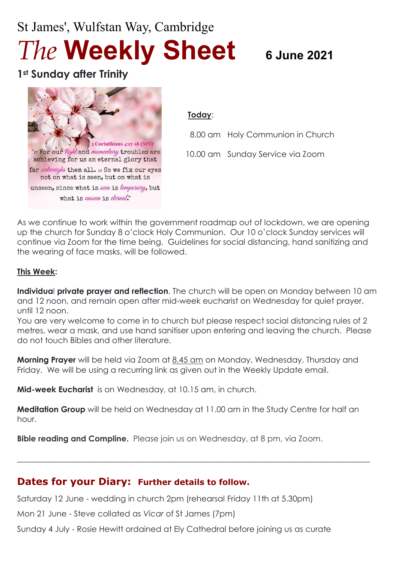# St James', Wulfstan Way, Cambridge *The* **Weekly Sheet 6 June <sup>2021</sup>**

# **1st Sunday after Trinity**



### **Today**:

8.00 am Holy Communion in Church

10.00 am Sunday Service via Zoom

As we continue to work within the government roadmap out of lockdown, we are opening up the church for Sunday 8 o'clock Holy Communion. Our 10 o'clock Sunday services will continue via Zoom for the time being. Guidelines for social distancing, hand sanitizing and the wearing of face masks, will be followed.

#### **This Week:**

**Individua**l **private prayer and reflection**. The church will be open on Monday between 10 am and 12 noon, and remain open after mid-week eucharist on Wednesday for quiet prayer, until 12 noon.

You are very welcome to come in to church but please respect social distancing rules of 2 metres, wear a mask, and use hand sanitiser upon entering and leaving the church. Please do not touch Bibles and other literature.

**Morning Prayer** will be held via Zoom at 8.45 am on Monday, Wednesday, Thursday and Friday. We will be using a recurring link as given out in the Weekly Update email.

**Mid-week Eucharist** is on Wednesday, at 10.15 am, in church.

**Meditation Group** will be held on Wednesday at 11.00 am in the Study Centre for half an hour.

 $\_$  , and the set of the set of the set of the set of the set of the set of the set of the set of the set of the set of the set of the set of the set of the set of the set of the set of the set of the set of the set of th

**Bible reading and Compline.** Please join us on Wednesday, at 8 pm, via Zoom.

## **Dates for your Diary: Further details to follow.**

Saturday 12 June - wedding in church 2pm (rehearsal Friday 11th at 5.30pm)

Mon 21 June - Steve collated as *Vicar* of St James (7pm)

Sunday 4 July - Rosie Hewitt ordained at Ely Cathedral before joining us as curate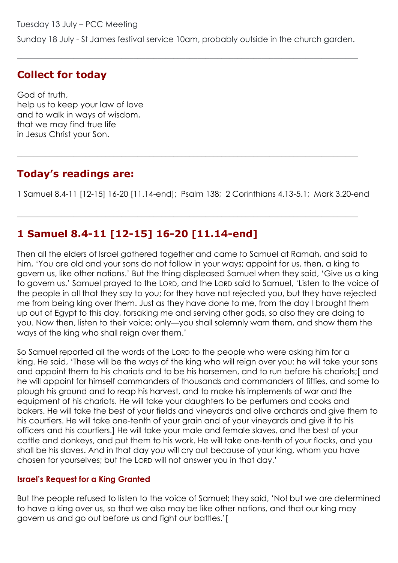Tuesday 13 July – PCC Meeting

Sunday 18 July - St James festival service 10am, probably outside in the church garden.

 $\_$  , and the set of the set of the set of the set of the set of the set of the set of the set of the set of the set of the set of the set of the set of the set of the set of the set of the set of the set of the set of th

# **Collect for today**

God of truth, help us to keep your law of love and to walk in ways of wisdom, that we may find true life in Jesus Christ your Son.

# **Today's readings are:**

1 Samuel 8.4-11 [12-15] 16-20 [11.14-end]; Psalm 138; 2 Corinthians 4.13-5.1; Mark 3.20-end

 $\_$  , and the set of the set of the set of the set of the set of the set of the set of the set of the set of the set of the set of the set of the set of the set of the set of the set of the set of the set of the set of th

**\_\_\_\_\_\_\_\_\_\_\_\_\_\_\_\_\_\_\_\_\_\_\_\_\_\_\_\_\_\_\_\_\_\_\_\_\_\_\_\_\_\_\_\_\_\_\_\_\_\_\_\_\_\_\_\_\_\_\_\_\_\_\_\_\_\_\_\_\_\_\_\_\_\_\_\_\_\_\_\_\_\_\_\_\_**

# **1 Samuel 8.4-11 [12-15] 16-20 [11.14-end]**

Then all the elders of Israel gathered together and came to Samuel at Ramah, and said to him, 'You are old and your sons do not follow in your ways; appoint for us, then, a king to govern us, like other nations.' But the thing displeased Samuel when they said, 'Give us a king to govern us.' Samuel prayed to the LORD, and the LORD said to Samuel, 'Listen to the voice of the people in all that they say to you; for they have not rejected you, but they have rejected me from being king over them. Just as they have done to me, from the day I brought them up out of Egypt to this day, forsaking me and serving other gods, so also they are doing to you. Now then, listen to their voice; only—you shall solemnly warn them, and show them the ways of the king who shall reign over them.'

So Samuel reported all the words of the LORD to the people who were asking him for a king. He said, 'These will be the ways of the king who will reign over you: he will take your sons and appoint them to his chariots and to be his horsemen, and to run before his chariots;[ and he will appoint for himself commanders of thousands and commanders of fifties, and some to plough his ground and to reap his harvest, and to make his implements of war and the equipment of his chariots. He will take your daughters to be perfumers and cooks and bakers. He will take the best of your fields and vineyards and olive orchards and give them to his courtiers. He will take one-tenth of your grain and of your vineyards and give it to his officers and his courtiers.] He will take your male and female slaves, and the best of your cattle and donkeys, and put them to his work. He will take one-tenth of your flocks, and you shall be his slaves. And in that day you will cry out because of your king, whom you have chosen for yourselves; but the LORD will not answer you in that day.'

#### **Israel's Request for a King Granted**

But the people refused to listen to the voice of Samuel; they said, 'No! but we are determined to have a king over us, so that we also may be like other nations, and that our king may govern us and go out before us and fight our battles.'[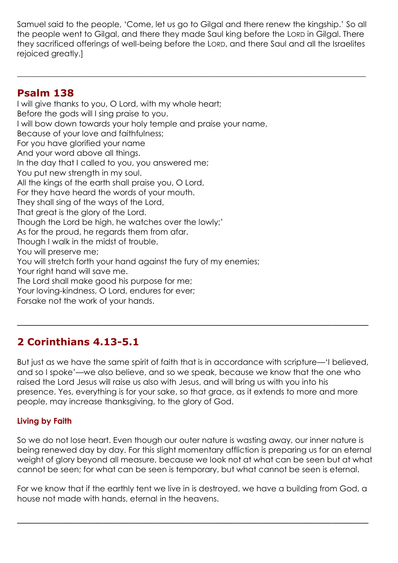Samuel said to the people, 'Come, let us go to Gilgal and there renew the kingship.' So all the people went to Gilgal, and there they made Saul king before the LORD in Gilgal. There they sacrificed offerings of well-being before the LORD, and there Saul and all the Israelites rejoiced greatly.]

 $\_$  , and the set of the set of the set of the set of the set of the set of the set of the set of the set of the set of the set of the set of the set of the set of the set of the set of the set of the set of the set of th

# **Psalm 138**

I will give thanks to you, O Lord, with my whole heart; Before the gods will I sing praise to you. I will bow down towards your holy temple and praise your name, Because of your love and faithfulness; For you have glorified your name And your word above all things. In the day that I called to you, you answered me; You put new strength in my soul. All the kings of the earth shall praise you, O Lord, For they have heard the words of your mouth. They shall sing of the ways of the Lord, That great is the glory of the Lord. Though the Lord be high, he watches over the lowly;' As for the proud, he regards them from afar. Though I walk in the midst of trouble, You will preserve me; You will stretch forth your hand against the fury of my enemies; Your right hand will save me. The Lord shall make good his purpose for me; Your loving-kindness, O Lord, endures for ever; Forsake not the work of your hands.

# **2 Corinthians 4.13-5.1**

But just as we have the same spirit of faith that is in accordance with scripture—'I believed, and so I spoke'—we also believe, and so we speak, because we know that the one who raised the Lord Jesus will raise us also with Jesus, and will bring us with you into his presence. Yes, everything is for your sake, so that grace, as it extends to more and more people, may increase thanksgiving, to the glory of God.

\_\_\_\_\_\_\_\_\_\_\_\_\_\_\_\_\_\_\_\_\_\_\_\_\_\_\_\_\_\_\_\_\_\_\_\_\_\_\_\_\_\_\_\_\_\_\_\_\_\_\_\_\_\_\_\_\_

#### **Living by Faith**

So we do not lose heart. Even though our outer nature is wasting away, our inner nature is being renewed day by day. For this slight momentary affliction is preparing us for an eternal weight of glory beyond all measure, because we look not at what can be seen but at what cannot be seen; for what can be seen is temporary, but what cannot be seen is eternal.

For we know that if the earthly tent we live in is destroyed, we have a building from God, a house not made with hands, eternal in the heavens.

\_\_\_\_\_\_\_\_\_\_\_\_\_\_\_\_\_\_\_\_\_\_\_\_\_\_\_\_\_\_\_\_\_\_\_\_\_\_\_\_\_\_\_\_\_\_\_\_\_\_\_\_\_\_\_\_\_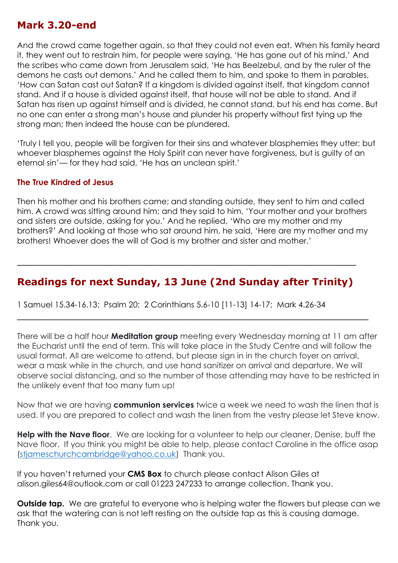# **Mark 3.20-end**

And the crowd came together again, so that they could not even eat. When his family heard it, they went out to restrain him, for people were saying, 'He has gone out of his mind.' And the scribes who came down from Jerusalem said, 'He has Beelzebul, and by the ruler of the demons he casts out demons.' And he called them to him, and spoke to them in parables, 'How can Satan cast out Satan? If a kingdom is divided against itself, that kingdom cannot stand. And if a house is divided against itself, that house will not be able to stand. And if Satan has risen up against himself and is divided, he cannot stand, but his end has come. But no one can enter a strong man's house and plunder his property without first tying up the strong man; then indeed the house can be plundered.

'Truly I tell you, people will be forgiven for their sins and whatever blasphemies they utter; but whoever blasphemes against the Holy Spirit can never have forgiveness, but is guilty of an eternal sin'— for they had said, 'He has an unclean spirit.'

#### **The True Kindred of Jesus**

Then his mother and his brothers came; and standing outside, they sent to him and called him. A crowd was sitting around him; and they said to him, 'Your mother and your brothers and sisters are outside, asking for you.' And he replied, 'Who are my mother and my brothers?' And looking at those who sat around him, he said, 'Here are my mother and my brothers! Whoever does the will of God is my brother and sister and mother.'

# **Readings for next Sunday, 13 June (2nd Sunday after Trinity)**

\_\_\_\_\_\_\_\_\_\_\_\_\_\_\_\_\_\_\_\_\_\_\_\_\_\_\_\_\_\_\_\_\_\_\_\_\_\_\_\_\_\_\_\_\_\_\_\_\_\_\_\_\_\_\_\_\_

\_\_\_\_\_\_\_\_\_\_\_\_\_\_\_\_\_\_\_\_\_\_\_\_\_\_\_\_\_\_\_\_\_\_\_\_\_\_\_\_\_\_\_\_\_\_\_\_\_\_\_\_\_\_\_

1 Samuel 15.34-16.13; Psalm 20; 2 Corinthians 5.6-10 [11-13] 14-17; Mark 4.26-34

There will be a half hour **Meditation group** meeting every Wednesday morning at 11 am after the Eucharist until the end of term. This will take place in the Study Centre and will follow the usual format. All are welcome to attend, but please sign in in the church foyer on arrival, wear a mask while in the church, and use hand sanitizer on arrival and departure. We will observe social distancing, and so the number of those attending may have to be restricted in the unlikely event that too many turn up!

Now that we are having **communion services** twice a week we need to wash the linen that is used. If you are prepared to collect and wash the linen from the vestry please let Steve know.

**Help with the Nave floor**. We are looking for a volunteer to help our cleaner, Denise, buff the Nave floor. If you think you might be able to help, please contact Caroline in the office asap [\(stjameschurchcambridge@yahoo.co.uk\)](mailto:stjameschurchcambridge@yahoo.co.uk) Thank you.

If you haven't returned your **CMS Box** to church please contact Alison Giles at alison.giles64@outlook.com or call 01223 247233 to arrange collection. Thank you.

**Outside tap.** We are grateful to everyone who is helping water the flowers but please can we ask that the watering can is not left resting on the outside tap as this is causing damage. Thank you.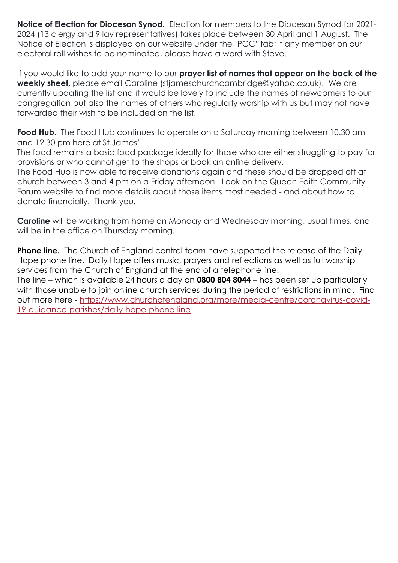**Notice of Election for Diocesan Synod.** Election for members to the Diocesan Synod for 2021- 2024 (13 clergy and 9 lay representatives) takes place between 30 April and 1 August. The Notice of Election is displayed on our website under the 'PCC' tab; if any member on our electoral roll wishes to be nominated, please have a word with Steve.

If you would like to add your name to our **prayer list of names that appear on the back of the weekly sheet,** please email Caroline (stjameschurchcambridge@yahoo.co.uk). We are currently updating the list and it would be lovely to include the names of newcomers to our congregation but also the names of others who regularly worship with us but may not have forwarded their wish to be included on the list.

**Food Hub.** The Food Hub continues to operate on a Saturday morning between 10.30 am and 12.30 pm here at St James'.

The food remains a basic food package ideally for those who are either struggling to pay for provisions or who cannot get to the shops or book an online delivery.

The Food Hub is now able to receive donations again and these should be dropped off at church between 3 and 4 pm on a Friday afternoon. Look on the Queen Edith Community Forum website to find more details about those items most needed - and about how to donate financially. Thank you.

**Caroline** will be working from home on Monday and Wednesday morning, usual times, and will be in the office on Thursday morning.

**Phone line.** The Church of England central team have supported the release of the Daily Hope phone line. Daily Hope offers music, prayers and reflections as well as full worship services from the Church of England at the end of a telephone line. The line – which is available 24 hours a day on **0800 804 8044** – has been set up particularly with those unable to join online church services during the period of restrictions in mind. Find out more here - [https://www.churchofengland.org/more/media-centre/coronavirus-covid-](https://www.churchofengland.org/more/media-centre/coronavirus-covid-19-guidance-parishes/daily-hope-phone-line)[19-guidance-parishes/daily-hope-phone-line](https://www.churchofengland.org/more/media-centre/coronavirus-covid-19-guidance-parishes/daily-hope-phone-line)